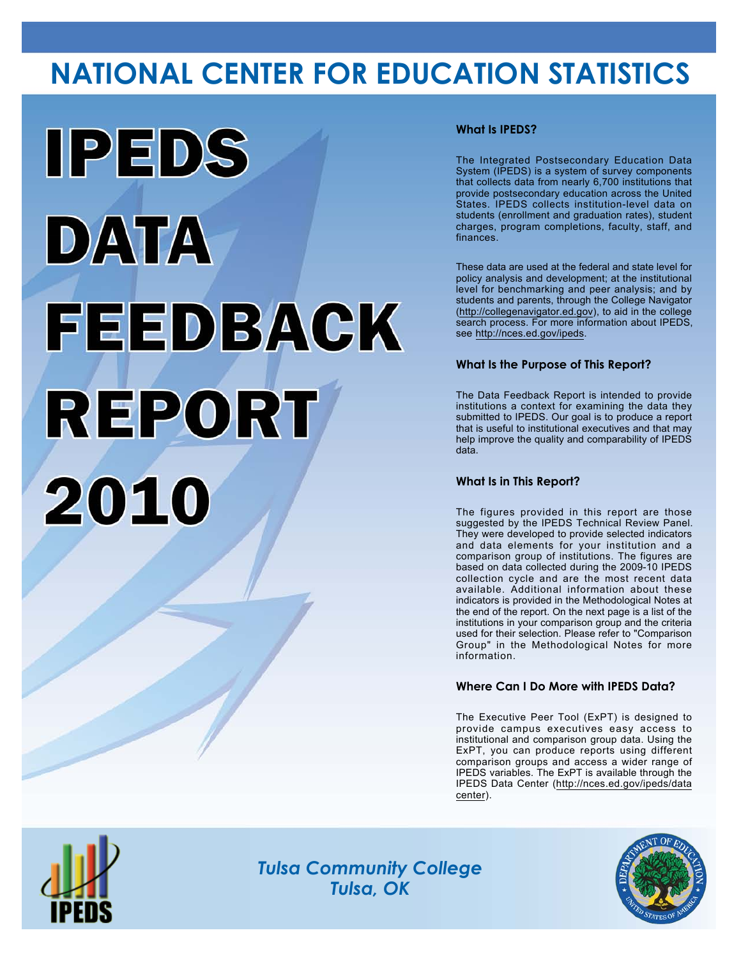# **NATIONAL CENTER FOR EDUCATION STATISTICS**



## **What Is IPEDS?**

The Integrated Postsecondary Education Data System (IPEDS) is a system of survey components that collects data from nearly 6,700 institutions that provide postsecondary education across the United States. IPEDS collects institution-level data on students (enrollment and graduation rates), student charges, program completions, faculty, staff, and finances.

These data are used at the federal and state level for policy analysis and development; at the institutional level for benchmarking and peer analysis; and by students and parents, through the College Navigator (<http://collegenavigator.ed.gov>), to aid in the college search process. For more information about IPEDS, see [http://nces.ed.gov/ipeds.](http://nces.ed.gov/ipeds)

## **What Is the Purpose of This Report?**

The Data Feedback Report is intended to provide institutions a context for examining the data they submitted to IPEDS. Our goal is to produce a report that is useful to institutional executives and that may help improve the quality and comparability of IPEDS data.

### **What Is in This Report?**

The figures provided in this report are those suggested by the IPEDS Technical Review Panel. They were developed to provide selected indicators and data elements for your institution and a comparison group of institutions. The figures are based on data collected during the 2009-10 IPEDS collection cycle and are the most recent data available. Additional information about these indicators is provided in the Methodological Notes at the end of the report. On the next page is a list of the institutions in your comparison group and the criteria used for their selection. Please refer to "Comparison Group" in the Methodological Notes for more information.

### **Where Can I Do More with IPEDS Data?**

The Executive Peer Tool (ExPT) is designed to provide campus executives easy access to institutional and comparison group data. Using the ExPT, you can produce reports using different comparison groups and access a wider range of IPEDS variables. The ExPT is available through the IPEDS Data Center ([http://nces.ed.gov/ipeds/data](http://nces.ed.gov/ipeds/datacenter) [center](http://nces.ed.gov/ipeds/datacenter)).



Image description. Cover Image End of image description.

*Tulsa Community College Tulsa, OK*

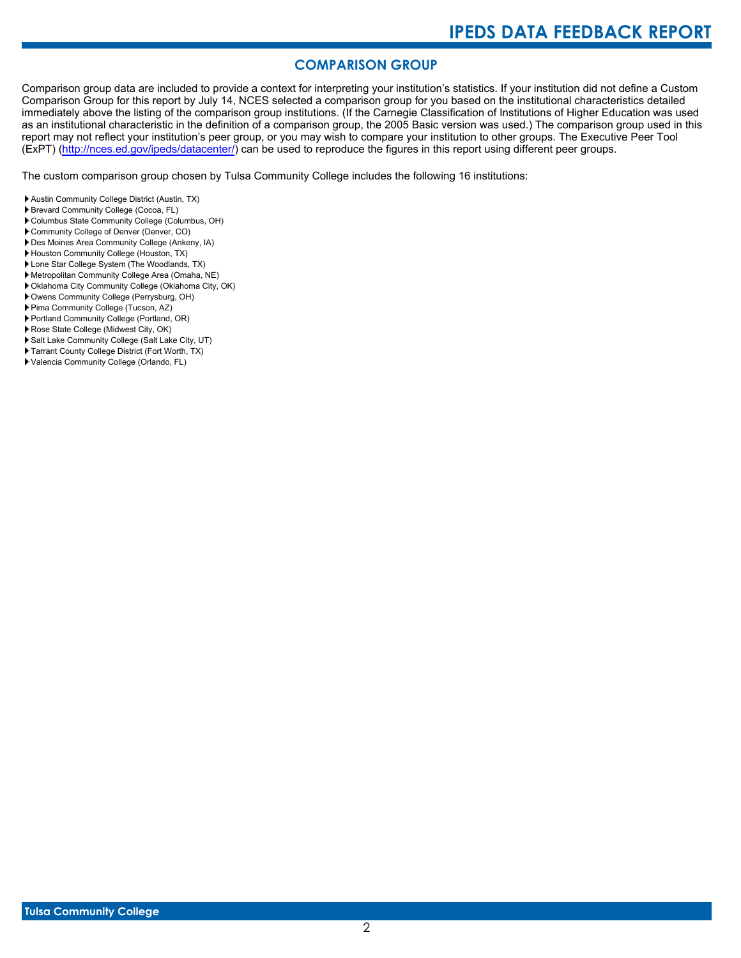# **COMPARISON GROUP**

Comparison group data are included to provide a context for interpreting your institution's statistics. If your institution did not define a Custom Comparison Group for this report by July 14, NCES selected a comparison group for you based on the institutional characteristics detailed immediately above the listing of the comparison group institutions. (If the Carnegie Classification of Institutions of Higher Education was used as an institutional characteristic in the definition of a comparison group, the 2005 Basic version was used.) The comparison group used in this report may not reflect your institution's peer group, or you may wish to compare your institution to other groups. The Executive Peer Tool (ExPT) [\(http://nces.ed.gov/ipeds/datacenter/\)](http://nces.ed.gov/ipeds/datacenter/) can be used to reproduce the figures in this report using different peer groups.

The custom comparison group chosen by Tulsa Community College includes the following 16 institutions:

- Austin Community College District (Austin, TX)
- Brevard Community College (Cocoa, FL)
- Columbus State Community College (Columbus, OH)
- Community College of Denver (Denver, CO)
- Des Moines Area Community College (Ankeny, IA)
- Houston Community College (Houston, TX)
- Lone Star College System (The Woodlands, TX)
- Metropolitan Community College Area (Omaha, NE)
- Oklahoma City Community College (Oklahoma City, OK)
- Owens Community College (Perrysburg, OH)
- Pima Community College (Tucson, AZ)
- Portland Community College (Portland, OR)
- Rose State College (Midwest City, OK)
- Salt Lake Community College (Salt Lake City, UT) Tarrant County College District (Fort Worth, TX)
- 
- Valencia Community College (Orlando, FL)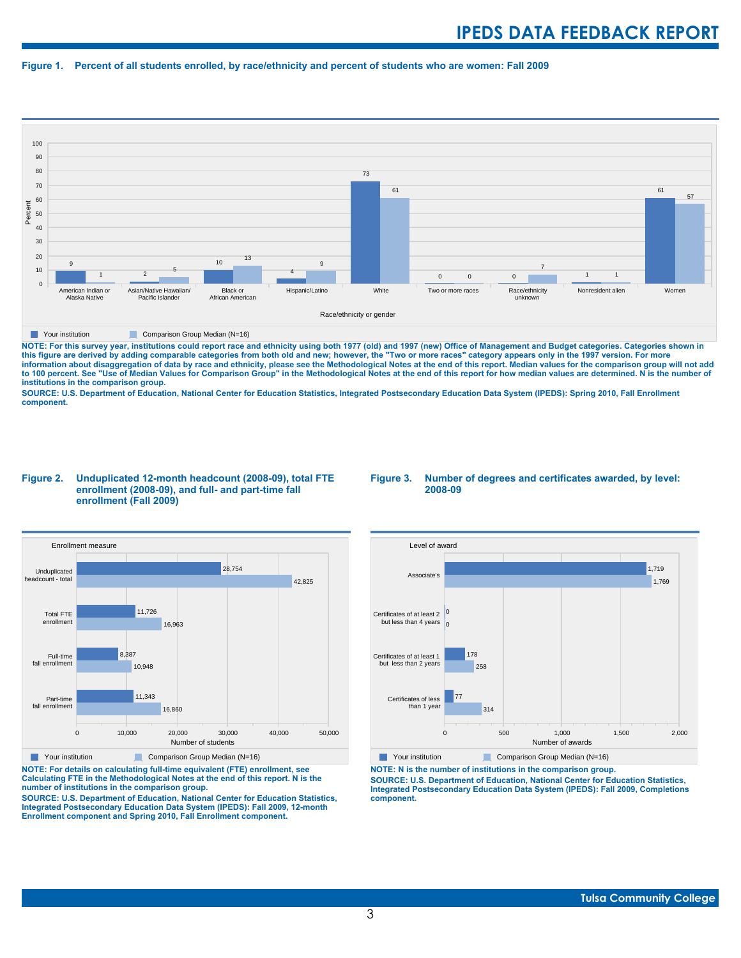#### **Figure 1. Percent of all students enrolled, by race/ethnicity and percent of students who are women: Fall 2009**



**The Comparison Group Median (N=16)** Comparison Group Median (N=16)

NOTE: For this survey year, institutions could report race and ethnicity using both 1977 (old) and 1997 (new) Office of Management and Budget categories. Categories shown in<br>this figure are derived by adding comparable cat **information about disaggregation of data by race and ethnicity, please see the Methodological Notes at the end of this report. Median values for the comparison group will not add to 100 percent. See "Use of Median Values for Comparison Group" in the Methodological Notes at the end of this report for how median values are determined. N is the number of institutions in the comparison group.**

**SOURCE: U.S. Department of Education, National Center for Education Statistics, Integrated Postsecondary Education Data System (IPEDS): Spring 2010, Fall Enrollment component.**

#### **Figure 2. Unduplicated 12-month headcount (2008-09), total FTE enrollment (2008-09), and full- and part-time fall enrollment (Fall 2009)**





**Your institution** Comparison Group Median (N=16)

**NOTE: For details on calculating full-time equivalent (FTE) enrollment, see Calculating FTE in the Methodological Notes at the end of this report. N is the number of institutions in the comparison group.**

**SOURCE: U.S. Department of Education, National Center for Education Statistics, Integrated Postsecondary Education Data System (IPEDS): Fall 2009, 12-month Enrollment component and Spring 2010, Fall Enrollment component.**



**The Your institution** Comparison Group Median (N=16)

**NOTE: N is the number of institutions in the comparison group. SOURCE: U.S. Department of Education, National Center for Education Statistics, Integrated Postsecondary Education Data System (IPEDS): Fall 2009, Completions component.**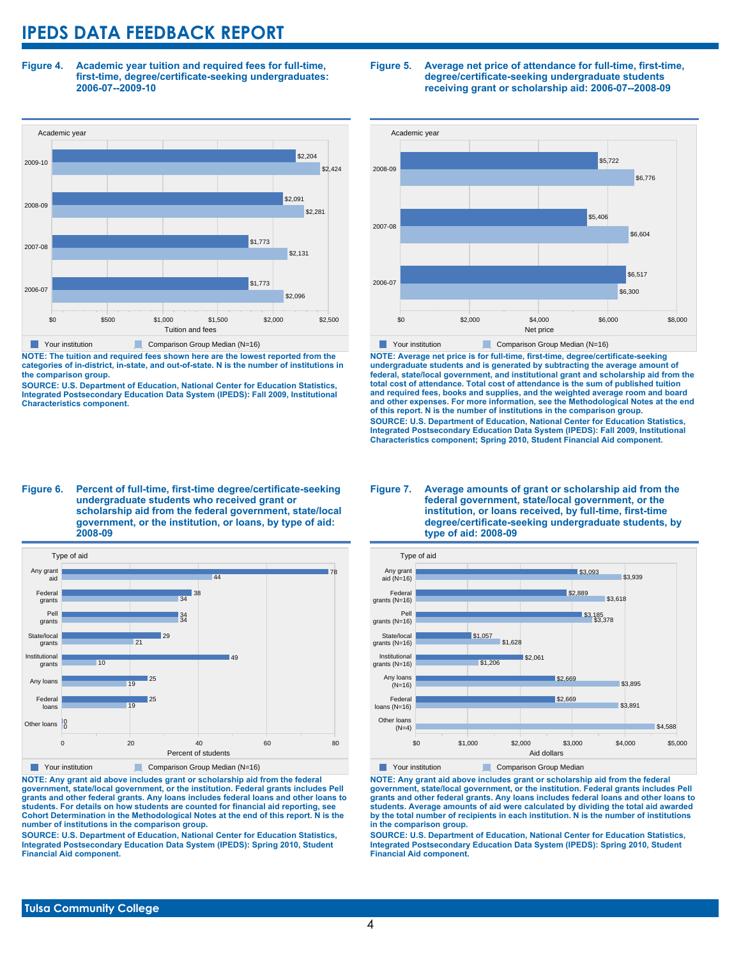**Figure 4. Academic year tuition and required fees for full-time, first-time, degree/certificate-seeking undergraduates: 2006-07--2009-10**



**NOTE: The tuition and required fees shown here are the lowest reported from the categories of in-district, in-state, and out-of-state. N is the number of institutions in the comparison group.**

**SOURCE: U.S. Department of Education, National Center for Education Statistics, Integrated Postsecondary Education Data System (IPEDS): Fall 2009, Institutional Characteristics component.**

#### **Figure 5. Average net price of attendance for full-time, first-time, degree/certificate-seeking undergraduate students receiving grant or scholarship aid: 2006-07--2008-09**



**NOTE: Average net price is for full-time, first-time, degree/certificate-seeking undergraduate students and is generated by subtracting the average amount of federal, state/local government, and institutional grant and scholarship aid from the total cost of attendance. Total cost of attendance is the sum of published tuition and required fees, books and supplies, and the weighted average room and board and other expenses. For more information, see the Methodological Notes at the end of this report. N is the number of institutions in the comparison group. SOURCE: U.S. Department of Education, National Center for Education Statistics, Integrated Postsecondary Education Data System (IPEDS): Fall 2009, Institutional Characteristics component; Spring 2010, Student Financial Aid component.**

#### **Figure 6. Percent of full-time, first-time degree/certificate-seeking undergraduate students who received grant or scholarship aid from the federal government, state/local government, or the institution, or loans, by type of aid: 2008-09**



**NOTE: Any grant aid above includes grant or scholarship aid from the federal government, state/local government, or the institution. Federal grants includes Pell grants and other federal grants. Any loans includes federal loans and other loans to students. For details on how students are counted for financial aid reporting, see Cohort Determination in the Methodological Notes at the end of this report. N is the number of institutions in the comparison group.**

**SOURCE: U.S. Department of Education, National Center for Education Statistics, Integrated Postsecondary Education Data System (IPEDS): Spring 2010, Student Financial Aid component.**

#### **Figure 7. Average amounts of grant or scholarship aid from the federal government, state/local government, or the institution, or loans received, by full-time, first-time degree/certificate-seeking undergraduate students, by type of aid: 2008-09**



**NOTE: Any grant aid above includes grant or scholarship aid from the federal government, state/local government, or the institution. Federal grants includes Pell grants and other federal grants. Any loans includes federal loans and other loans to students. Average amounts of aid were calculated by dividing the total aid awarded by the total number of recipients in each institution. N is the number of institutions in the comparison group.**

**SOURCE: U.S. Department of Education, National Center for Education Statistics, Integrated Postsecondary Education Data System (IPEDS): Spring 2010, Student Financial Aid component.**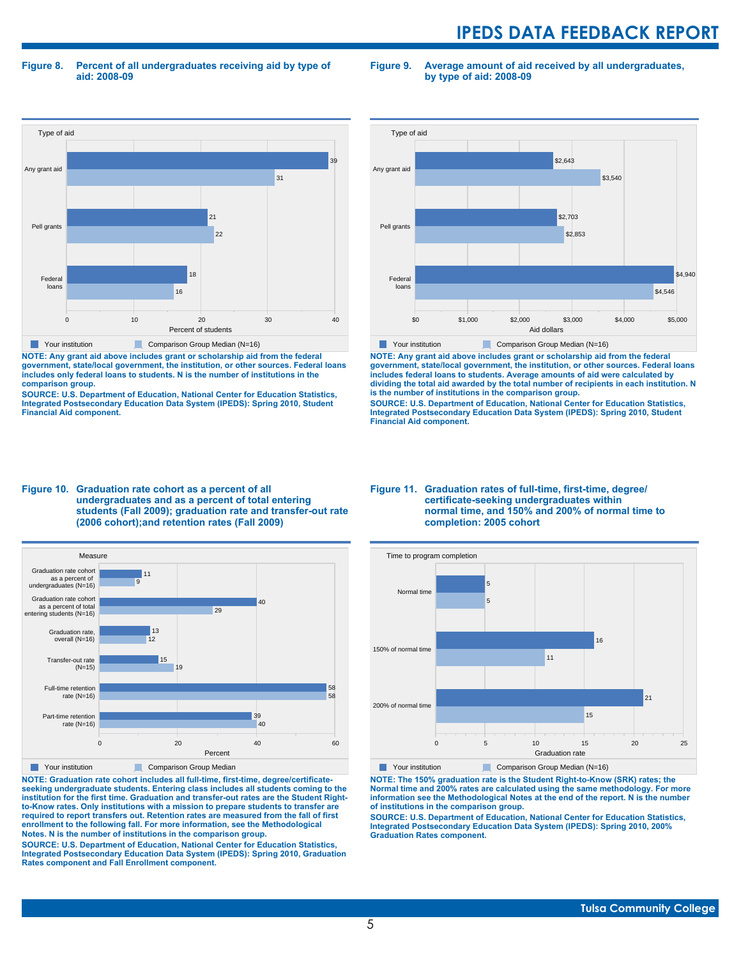**Figure 8. Percent of all undergraduates receiving aid by type of aid: 2008-09**

**Figure 9. Average amount of aid received by all undergraduates, by type of aid: 2008-09**



**NOTE: Any grant aid above includes grant or scholarship aid from the federal government, state/local government, the institution, or other sources. Federal loans includes only federal loans to students. N is the number of institutions in the comparison group.**

**SOURCE: U.S. Department of Education, National Center for Education Statistics, Integrated Postsecondary Education Data System (IPEDS): Spring 2010, Student Financial Aid component.**



**NOTE: Any grant aid above includes grant or scholarship aid from the federal government, state/local government, the institution, or other sources. Federal loans includes federal loans to students. Average amounts of aid were calculated by dividing the total aid awarded by the total number of recipients in each institution. N is the number of institutions in the comparison group.**

**SOURCE: U.S. Department of Education, National Center for Education Statistics, Integrated Postsecondary Education Data System (IPEDS): Spring 2010, Student Financial Aid component.**





**NOTE: Graduation rate cohort includes all full-time, first-time, degree/certificateseeking undergraduate students. Entering class includes all students coming to the institution for the first time. Graduation and transfer-out rates are the Student Rightto-Know rates. Only institutions with a mission to prepare students to transfer are required to report transfers out. Retention rates are measured from the fall of first enrollment to the following fall. For more information, see the Methodological Notes. N is the number of institutions in the comparison group.**

**SOURCE: U.S. Department of Education, National Center for Education Statistics, Integrated Postsecondary Education Data System (IPEDS): Spring 2010, Graduation Rates component and Fall Enrollment component.**

#### **Figure 11. Graduation rates of full-time, first-time, degree/ certificate-seeking undergraduates within normal time, and 150% and 200% of normal time to completion: 2005 cohort**



**NOTE: The 150% graduation rate is the Student Right-to-Know (SRK) rates; the Normal time and 200% rates are calculated using the same methodology. For more information see the Methodological Notes at the end of the report. N is the number of institutions in the comparison group.**

**SOURCE: U.S. Department of Education, National Center for Education Statistics, Integrated Postsecondary Education Data System (IPEDS): Spring 2010, 200% Graduation Rates component.**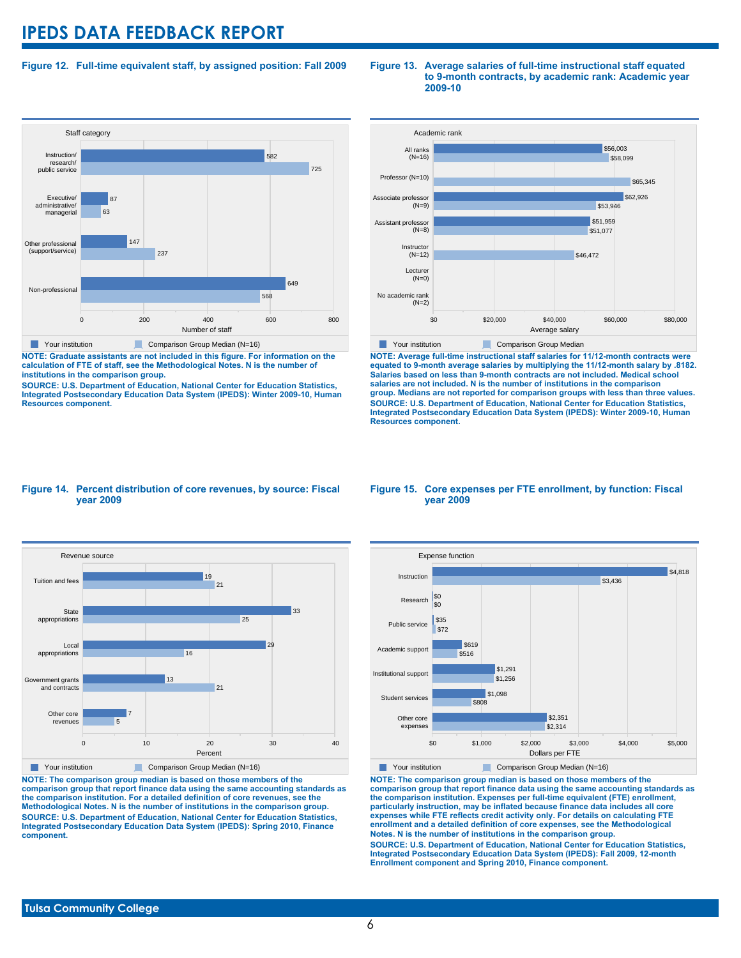### **Figure 12. Full-time equivalent staff, by assigned position: Fall 2009**



**NOTE: Graduate assistants are not included in this figure. For information on the calculation of FTE of staff, see the Methodological Notes. N is the number of institutions in the comparison group.**

**SOURCE: U.S. Department of Education, National Center for Education Statistics, Integrated Postsecondary Education Data System (IPEDS): Winter 2009-10, Human Resources component.**

#### **Figure 13. Average salaries of full-time instructional staff equated to 9-month contracts, by academic rank: Academic year 2009-10**



**NOTE: Average full-time instructional staff salaries for 11/12-month contracts were equated to 9-month average salaries by multiplying the 11/12-month salary by .8182. Salaries based on less than 9-month contracts are not included. Medical school salaries are not included. N is the number of institutions in the comparison group. Medians are not reported for comparison groups with less than three values. SOURCE: U.S. Department of Education, National Center for Education Statistics, Integrated Postsecondary Education Data System (IPEDS): Winter 2009-10, Human Resources component.**

#### **Figure 14. Percent distribution of core revenues, by source: Fiscal year 2009**



**NOTE: The comparison group median is based on those members of the comparison group that report finance data using the same accounting standards as the comparison institution. For a detailed definition of core revenues, see the Methodological Notes. N is the number of institutions in the comparison group. SOURCE: U.S. Department of Education, National Center for Education Statistics, Integrated Postsecondary Education Data System (IPEDS): Spring 2010, Finance component.**

#### **Figure 15. Core expenses per FTE enrollment, by function: Fiscal year 2009**



**NOTE: The comparison group median is based on those members of the comparison group that report finance data using the same accounting standards as the comparison institution. Expenses per full-time equivalent (FTE) enrollment, particularly instruction, may be inflated because finance data includes all core expenses while FTE reflects credit activity only. For details on calculating FTE enrollment and a detailed definition of core expenses, see the Methodological Notes. N is the number of institutions in the comparison group. SOURCE: U.S. Department of Education, National Center for Education Statistics, Integrated Postsecondary Education Data System (IPEDS): Fall 2009, 12-month Enrollment component and Spring 2010, Finance component.**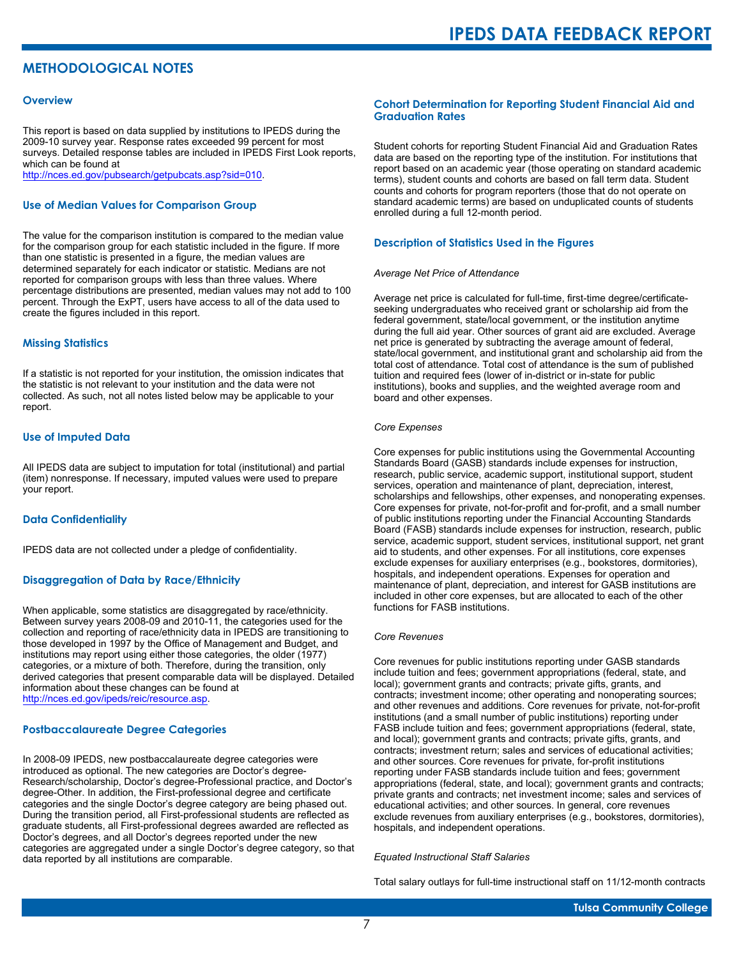# **METHODOLOGICAL NOTES**

#### **Overview**

This report is based on data supplied by institutions to IPEDS during the 2009-10 survey year. Response rates exceeded 99 percent for most surveys. Detailed response tables are included in IPEDS First Look reports, which can be found at [http://nces.ed.gov/pubsearch/getpubcats.asp?sid=010.](http://nces.ed.gov/pubsearch/getpubcats.asp?sid=010)

#### **Use of Median Values for Comparison Group**

The value for the comparison institution is compared to the median value for the comparison group for each statistic included in the figure. If more than one statistic is presented in a figure, the median values are determined separately for each indicator or statistic. Medians are not reported for comparison groups with less than three values. Where percentage distributions are presented, median values may not add to 100 percent. Through the ExPT, users have access to all of the data used to create the figures included in this report.

#### **Missing Statistics**

If a statistic is not reported for your institution, the omission indicates that the statistic is not relevant to your institution and the data were not collected. As such, not all notes listed below may be applicable to your report.

#### **Use of Imputed Data**

All IPEDS data are subject to imputation for total (institutional) and partial (item) nonresponse. If necessary, imputed values were used to prepare your report.

#### **Data Confidentiality**

IPEDS data are not collected under a pledge of confidentiality.

#### **Disaggregation of Data by Race/Ethnicity**

When applicable, some statistics are disaggregated by race/ethnicity. Between survey years 2008-09 and 2010-11, the categories used for the collection and reporting of race/ethnicity data in IPEDS are transitioning to those developed in 1997 by the Office of Management and Budget, and institutions may report using either those categories, the older (1977) categories, or a mixture of both. Therefore, during the transition, only derived categories that present comparable data will be displayed. Detailed information about these changes can be found at <http://nces.ed.gov/ipeds/reic/resource.asp>.

#### **Postbaccalaureate Degree Categories**

In 2008-09 IPEDS, new postbaccalaureate degree categories were introduced as optional. The new categories are Doctor's degree-Research/scholarship, Doctor's degree-Professional practice, and Doctor's degree-Other. In addition, the First-professional degree and certificate categories and the single Doctor's degree category are being phased out. During the transition period, all First-professional students are reflected as graduate students, all First-professional degrees awarded are reflected as Doctor's degrees, and all Doctor's degrees reported under the new categories are aggregated under a single Doctor's degree category, so that data reported by all institutions are comparable.

#### **Cohort Determination for Reporting Student Financial Aid and Graduation Rates**

Student cohorts for reporting Student Financial Aid and Graduation Rates data are based on the reporting type of the institution. For institutions that report based on an academic year (those operating on standard academic terms), student counts and cohorts are based on fall term data. Student counts and cohorts for program reporters (those that do not operate on standard academic terms) are based on unduplicated counts of students enrolled during a full 12-month period.

#### **Description of Statistics Used in the Figures**

#### *Average Net Price of Attendance*

Average net price is calculated for full-time, first-time degree/certificateseeking undergraduates who received grant or scholarship aid from the federal government, state/local government, or the institution anytime during the full aid year. Other sources of grant aid are excluded. Average net price is generated by subtracting the average amount of federal, state/local government, and institutional grant and scholarship aid from the total cost of attendance. Total cost of attendance is the sum of published tuition and required fees (lower of in-district or in-state for public institutions), books and supplies, and the weighted average room and board and other expenses.

#### *Core Expenses*

Core expenses for public institutions using the Governmental Accounting Standards Board (GASB) standards include expenses for instruction, research, public service, academic support, institutional support, student services, operation and maintenance of plant, depreciation, interest, scholarships and fellowships, other expenses, and nonoperating expenses. Core expenses for private, not-for-profit and for-profit, and a small number of public institutions reporting under the Financial Accounting Standards Board (FASB) standards include expenses for instruction, research, public service, academic support, student services, institutional support, net grant aid to students, and other expenses. For all institutions, core expenses exclude expenses for auxiliary enterprises (e.g., bookstores, dormitories), hospitals, and independent operations. Expenses for operation and maintenance of plant, depreciation, and interest for GASB institutions are included in other core expenses, but are allocated to each of the other functions for FASB institutions.

#### *Core Revenues*

Core revenues for public institutions reporting under GASB standards include tuition and fees; government appropriations (federal, state, and local); government grants and contracts; private gifts, grants, and contracts; investment income; other operating and nonoperating sources; and other revenues and additions. Core revenues for private, not-for-profit institutions (and a small number of public institutions) reporting under FASB include tuition and fees; government appropriations (federal, state, and local); government grants and contracts; private gifts, grants, and contracts; investment return; sales and services of educational activities; and other sources. Core revenues for private, for-profit institutions reporting under FASB standards include tuition and fees; government appropriations (federal, state, and local); government grants and contracts; private grants and contracts; net investment income; sales and services of educational activities; and other sources. In general, core revenues exclude revenues from auxiliary enterprises (e.g., bookstores, dormitories), hospitals, and independent operations.

#### *Equated Instructional Staff Salaries*

Total salary outlays for full-time instructional staff on 11/12-month contracts